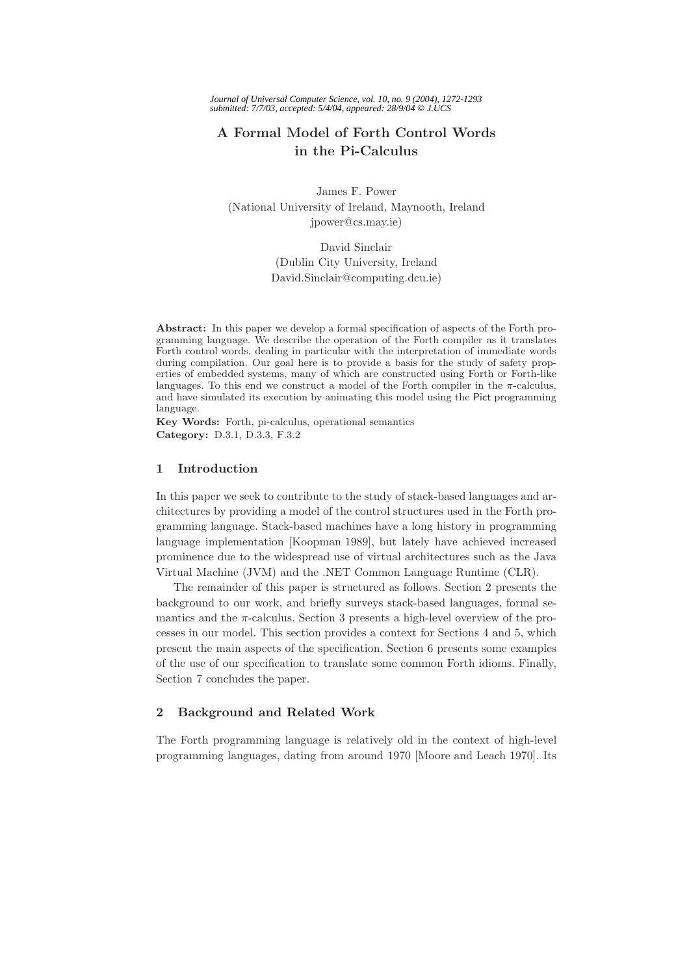# **A Formal Model of Forth Control Words in the Pi-Calculus**

James F. Power (National University of Ireland, Maynooth, Ireland jpower@cs.may.ie)

> David Sinclair (Dublin City University, Ireland David.Sinclair@computing.dcu.ie)

**Abstract:** In this paper we develop a formal specification of aspects of the Forth programming language. We describe the operation of the Forth compiler as it translates Forth control words, dealing in particular with the interpretation of immediate words during compilation. Our goal here is to provide a basis for the study of safety properties of embedded systems, many of which are constructed using Forth or Forth-like languages. To this end we construct a model of the Forth compiler in the  $\pi$ -calculus, and have simulated its execution by animating this model using the Pict programming language.

**Key Words:** Forth, pi-calculus, operational semantics **Category:** D.3.1, D.3.3, F.3.2

# **1 Introduction**

In this paper we seek to contribute to the study of stack-based languages and architectures by providing a model of the control structures used in the Forth programming language. Stack-based machines have a long history in programming language implementation [Koopman 1989], but lately have achieved increased prominence due to the widespread use of virtual architectures such as the Java Virtual Machine (JVM) and the .NET Common Language Runtime (CLR).

The remainder of this paper is structured as follows. Section 2 presents the background to our work, and briefly surveys stack-based languages, formal semantics and the  $\pi$ -calculus. Section 3 presents a high-level overview of the processes in our model. This section provides a context for Sections 4 and 5, which present the main aspects of the specification. Section 6 presents some examples of the use of our specification to translate some common Forth idioms. Finally, Section 7 concludes the paper.

# **2 Background and Related Work**

The Forth programming language is relatively old in the context of high-level programming languages, dating from around 1970 [Moore and Leach 1970]. Its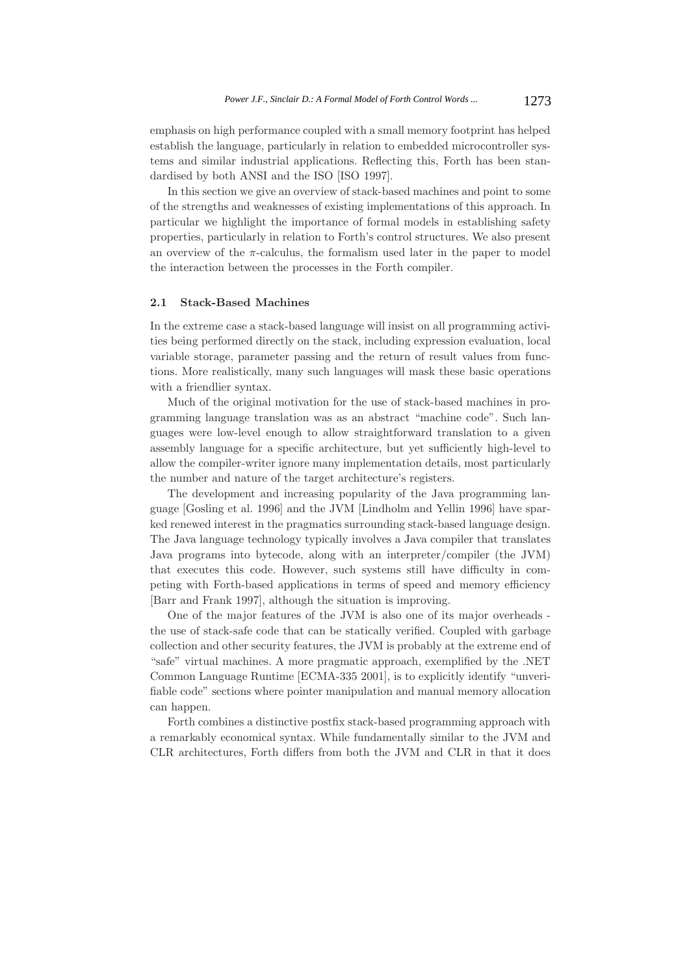emphasis on high performance coupled with a small memory footprint has helped establish the language, particularly in relation to embedded microcontroller systems and similar industrial applications. Reflecting this, Forth has been standardised by both ANSI and the ISO [ISO 1997].

In this section we give an overview of stack-based machines and point to some of the strengths and weaknesses of existing implementations of this approach. In particular we highlight the importance of formal models in establishing safety properties, particularly in relation to Forth's control structures. We also present an overview of the  $\pi$ -calculus, the formalism used later in the paper to model the interaction between the processes in the Forth compiler.

### **2.1 Stack-Based Machines**

In the extreme case a stack-based language will insist on all programming activities being performed directly on the stack, including expression evaluation, local variable storage, parameter passing and the return of result values from functions. More realistically, many such languages will mask these basic operations with a friendlier syntax.

Much of the original motivation for the use of stack-based machines in programming language translation was as an abstract "machine code". Such languages were low-level enough to allow straightforward translation to a given assembly language for a specific architecture, but yet sufficiently high-level to allow the compiler-writer ignore many implementation details, most particularly the number and nature of the target architecture's registers.

The development and increasing popularity of the Java programming language [Gosling et al. 1996] and the JVM [Lindholm and Yellin 1996] have sparked renewed interest in the pragmatics surrounding stack-based language design. The Java language technology typically involves a Java compiler that translates Java programs into bytecode, along with an interpreter/compiler (the JVM) that executes this code. However, such systems still have difficulty in competing with Forth-based applications in terms of speed and memory efficiency [Barr and Frank 1997], although the situation is improving.

One of the major features of the JVM is also one of its major overheads the use of stack-safe code that can be statically verified. Coupled with garbage collection and other security features, the JVM is probably at the extreme end of "safe" virtual machines. A more pragmatic approach, exemplified by the .NET Common Language Runtime [ECMA-335 2001], is to explicitly identify "unverifiable code" sections where pointer manipulation and manual memory allocation can happen.

Forth combines a distinctive postfix stack-based programming approach with a remarkably economical syntax. While fundamentally similar to the JVM and CLR architectures, Forth differs from both the JVM and CLR in that it does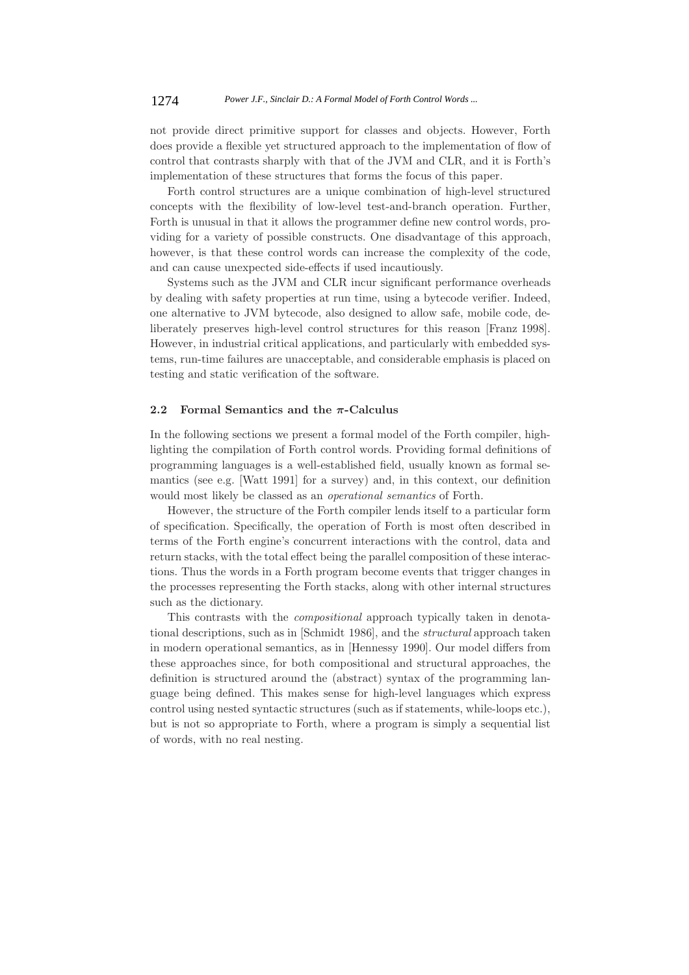not provide direct primitive support for classes and objects. However, Forth does provide a flexible yet structured approach to the implementation of flow of control that contrasts sharply with that of the JVM and CLR, and it is Forth's implementation of these structures that forms the focus of this paper.

Forth control structures are a unique combination of high-level structured concepts with the flexibility of low-level test-and-branch operation. Further, Forth is unusual in that it allows the programmer define new control words, providing for a variety of possible constructs. One disadvantage of this approach, however, is that these control words can increase the complexity of the code, and can cause unexpected side-effects if used incautiously.

Systems such as the JVM and CLR incur significant performance overheads by dealing with safety properties at run time, using a bytecode verifier. Indeed, one alternative to JVM bytecode, also designed to allow safe, mobile code, deliberately preserves high-level control structures for this reason [Franz 1998]. However, in industrial critical applications, and particularly with embedded systems, run-time failures are unacceptable, and considerable emphasis is placed on testing and static verification of the software.

## **2.2 Formal Semantics and the** *π***-Calculus**

In the following sections we present a formal model of the Forth compiler, highlighting the compilation of Forth control words. Providing formal definitions of programming languages is a well-established field, usually known as formal semantics (see e.g. [Watt 1991] for a survey) and, in this context, our definition would most likely be classed as an *operational semantics* of Forth.

However, the structure of the Forth compiler lends itself to a particular form of specification. Specifically, the operation of Forth is most often described in terms of the Forth engine's concurrent interactions with the control, data and return stacks, with the total effect being the parallel composition of these interactions. Thus the words in a Forth program become events that trigger changes in the processes representing the Forth stacks, along with other internal structures such as the dictionary.

This contrasts with the *compositional* approach typically taken in denotational descriptions, such as in [Schmidt 1986], and the *structural* approach taken in modern operational semantics, as in [Hennessy 1990]. Our model differs from these approaches since, for both compositional and structural approaches, the definition is structured around the (abstract) syntax of the programming language being defined. This makes sense for high-level languages which express control using nested syntactic structures (such as if statements, while-loops etc.), but is not so appropriate to Forth, where a program is simply a sequential list of words, with no real nesting.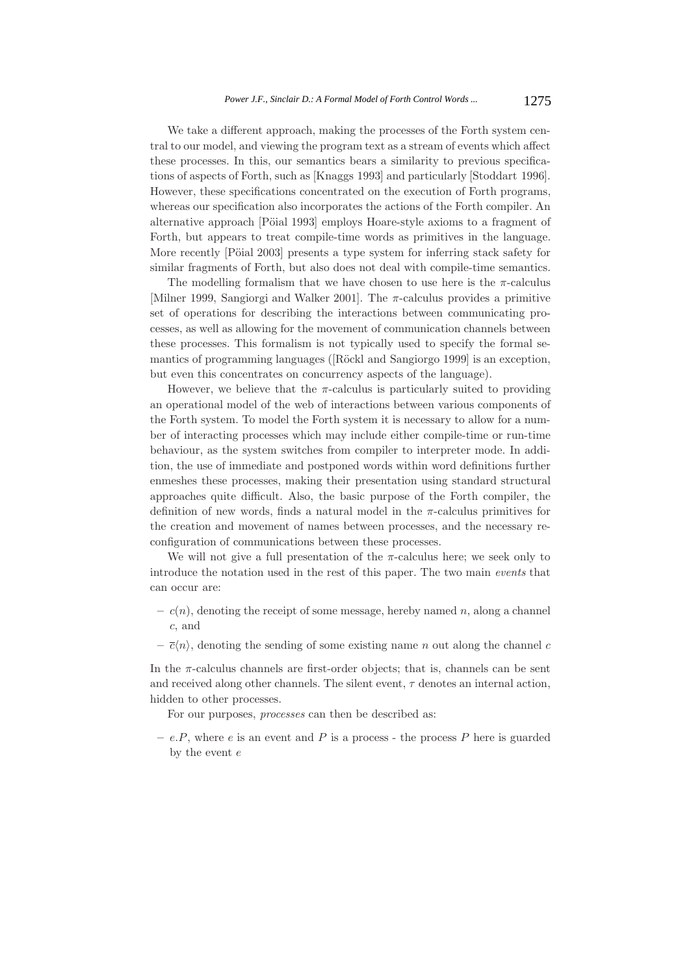We take a different approach, making the processes of the Forth system central to our model, and viewing the program text as a stream of events which affect these processes. In this, our semantics bears a similarity to previous specifications of aspects of Forth, such as [Knaggs 1993] and particularly [Stoddart 1996]. However, these specifications concentrated on the execution of Forth programs, whereas our specification also incorporates the actions of the Forth compiler. An alternative approach [Pöial 1993] employs Hoare-style axioms to a fragment of Forth, but appears to treat compile-time words as primitives in the language. More recently [Pöial 2003] presents a type system for inferring stack safety for similar fragments of Forth, but also does not deal with compile-time semantics.

The modelling formalism that we have chosen to use here is the  $\pi$ -calculus [Milner 1999, Sangiorgi and Walker 2001]. The  $\pi$ -calculus provides a primitive set of operations for describing the interactions between communicating processes, as well as allowing for the movement of communication channels between these processes. This formalism is not typically used to specify the formal semantics of programming languages ([Röckl and Sangiorgo 1999] is an exception, but even this concentrates on concurrency aspects of the language).

However, we believe that the  $\pi$ -calculus is particularly suited to providing an operational model of the web of interactions between various components of the Forth system. To model the Forth system it is necessary to allow for a number of interacting processes which may include either compile-time or run-time behaviour, as the system switches from compiler to interpreter mode. In addition, the use of immediate and postponed words within word definitions further enmeshes these processes, making their presentation using standard structural approaches quite difficult. Also, the basic purpose of the Forth compiler, the definition of new words, finds a natural model in the  $\pi$ -calculus primitives for the creation and movement of names between processes, and the necessary reconfiguration of communications between these processes.

We will not give a full presentation of the  $\pi$ -calculus here; we seek only to introduce the notation used in the rest of this paper. The two main *events* that can occur are:

- $c(n)$ , denoting the receipt of some message, hereby named n, along a channel c, and
- $-\overline{c}\langle n \rangle$ , denoting the sending of some existing name n out along the channel c

In the  $\pi$ -calculus channels are first-order objects; that is, channels can be sent and received along other channels. The silent event,  $\tau$  denotes an internal action, hidden to other processes.

For our purposes, *processes* can then be described as:

 $-e.P$ , where e is an event and P is a process - the process P here is guarded by the event  $e$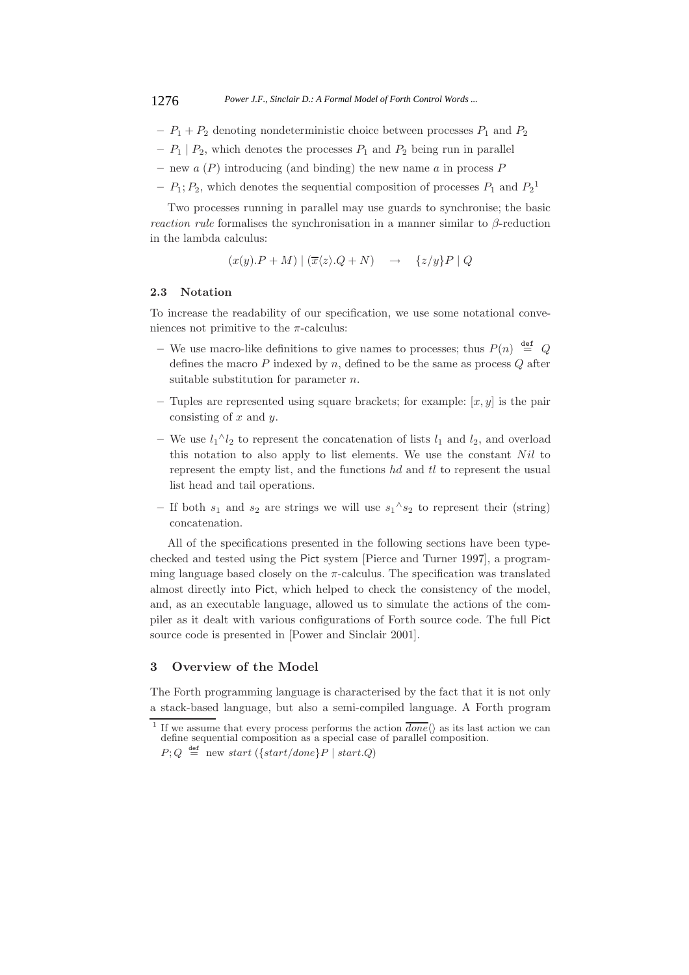- $P_1 + P_2$  denoting nondeterministic choice between processes  $P_1$  and  $P_2$
- $P_1 | P_2$ , which denotes the processes  $P_1$  and  $P_2$  being run in parallel
- **–** new a (P) introducing (and binding) the new name a in process P
- $P_1; P_2$ , which denotes the sequential composition of processes  $P_1$  and  $P_2$ <sup>1</sup>

Two processes running in parallel may use guards to synchronise; the basic *reaction rule* formalises the synchronisation in a manner similar to β-reduction in the lambda calculus:

$$
(x(y).P + M) | (\overline{x}\langle z \rangle.Q + N) \rightarrow \{z/y\}P | Q
$$

#### **2.3 Notation**

To increase the readability of our specification, we use some notational conveniences not primitive to the  $\pi$ -calculus:

- We use macro-like definitions to give names to processes; thus  $P(n) \stackrel{\text{def}}{=} Q$ defines the macro  $P$  indexed by  $n$ , defined to be the same as process  $Q$  after suitable substitution for parameter n.
- Tuples are represented using square brackets; for example:  $[x, y]$  is the pair consisting of  $x$  and  $y$ .
- − We use  $l_1$ <sup> $\wedge$ </sup>l<sub>2</sub> to represent the concatenation of lists  $l_1$  and  $l_2$ , and overload this notation to also apply to list elements. We use the constant  $Nil$  to represent the empty list, and the functions hd and tl to represent the usual list head and tail operations.
- $-$  If both  $s_1$  and  $s_2$  are strings we will use  $s_1^{\wedge} s_2$  to represent their (string) concatenation.

All of the specifications presented in the following sections have been typechecked and tested using the Pict system [Pierce and Turner 1997], a programming language based closely on the  $\pi$ -calculus. The specification was translated almost directly into Pict, which helped to check the consistency of the model, and, as an executable language, allowed us to simulate the actions of the compiler as it dealt with various configurations of Forth source code. The full Pict source code is presented in [Power and Sinclair 2001].

# **3 Overview of the Model**

The Forth programming language is characterised by the fact that it is not only a stack-based language, but also a semi-compiled language. A Forth program

<sup>&</sup>lt;sup>1</sup> If we assume that every process performs the action  $\overline{done}$   $\langle$  as its last action we can define sequential composition as a special case of parallel composition.

 $P; Q \stackrel{\text{def}}{=} \text{new start}(\{start/done\}P \mid start.Q)$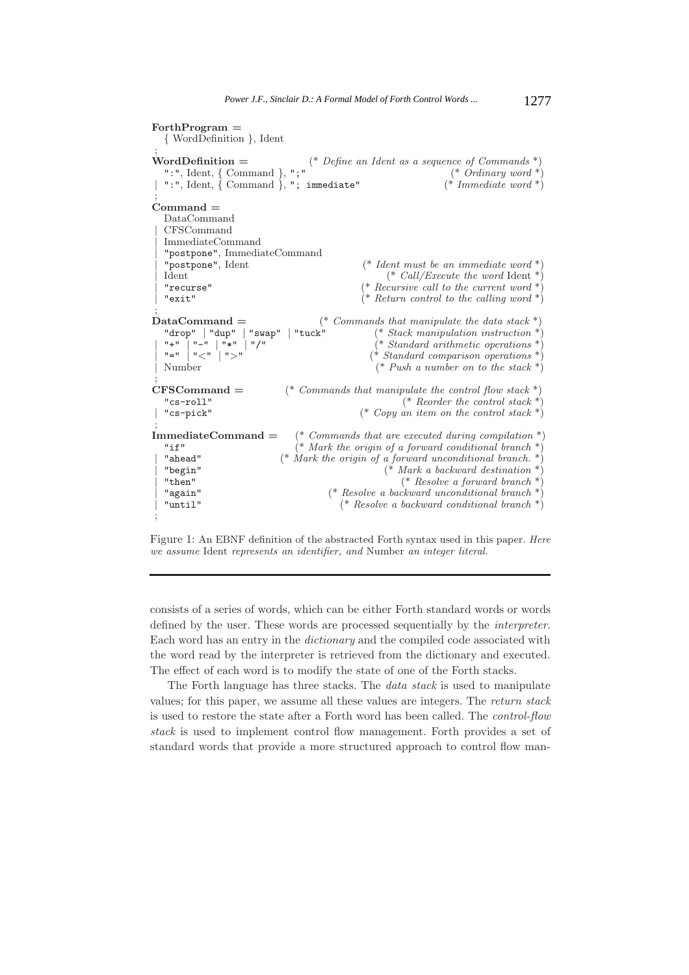```
ForthProgram =
  { WordDefinition }, Ident
 ;
WordDefinition = (* Define an Ident as a sequence of Commands *)
   ":", Ident, { Command }, ";" (* Ordinary word *)
 | ":", Ident, { Command }, "; immediate" (* Immediate word *)
 ;
Command =
  DataCommand
  | CFSCommand
  | ImmediateCommand
   | "postpone", ImmediateCommand
  | "postpone", Ident (* Ident must be an immediate word *)
                                                        (*\text{ Call}/Execute\text{ the word}\text{ Ident}*)| "recurse" (* Recursive call to the current word *)
                                                  (* Return control to the calling word *);
DataCommand = (* Commands that manipulate the data stack *)<br>"drop" | "dup" | "swap" | "tuck" (* Stack manipulation instruction *)
   "drop" | "dup" | "swap" | "tuck" (* Stack manipulation instruction *)
 | "+" | "-" | "*" | "/" (* Standard arithmetic operations *)
  \begin{array}{c}\n\text{``} + \text{''} \quad \text{``} + \text{''} \quad \text{``} + \text{''} \quad \text{``} + \text{''} \quad \text{``} + \text{''} \quad \text{``} + \text{''} \quad \text{``} + \text{''} \quad \text{``} + \text{''} \quad \text{``} + \text{''} \quad \text{``} + \text{''} \quad \text{``} + \text{''} \quad \text{``} + \text{''} \quad \text{``} + \text{''} \quad \text{``} + \text{''} \quad \text{``} + \text{''} \quad \text{``} + \text{''} \quad \text{``(*\;Push\; a\; number\; on\; to\; the\; stack *)\;;
CFSCommand = (* Commands that manipulate the control flow stack *)
  "cs-roll"<br>"cs-pick" (* Copy an item on the control stack *)<br>"cs-pick" (* Copy an item on the control stack *)
                                                  (* Copy an item on the control stack *)
 ;
ImmediateCommand = (* Commands that are executed during compilation *)
  "if" (* Mark the origin of a forward conditional branch *)
  | "ahead" (* Mark the origin of a forward unconditional branch. *)
   | "begin" (* Mark a backward destination *)
                                                           (* Resolve a forward branch *)
  | "again" (* Resolve a backward unconditional branch *)
                                             (* Resolve a backward conditional branch *);
```


consists of a series of words, which can be either Forth standard words or words defined by the user. These words are processed sequentially by the *interpreter*. Each word has an entry in the *dictionary* and the compiled code associated with the word read by the interpreter is retrieved from the dictionary and executed. The effect of each word is to modify the state of one of the Forth stacks.

The Forth language has three stacks. The *data stack* is used to manipulate values; for this paper, we assume all these values are integers. The *return stack* is used to restore the state after a Forth word has been called. The *control-flow stack* is used to implement control flow management. Forth provides a set of standard words that provide a more structured approach to control flow man-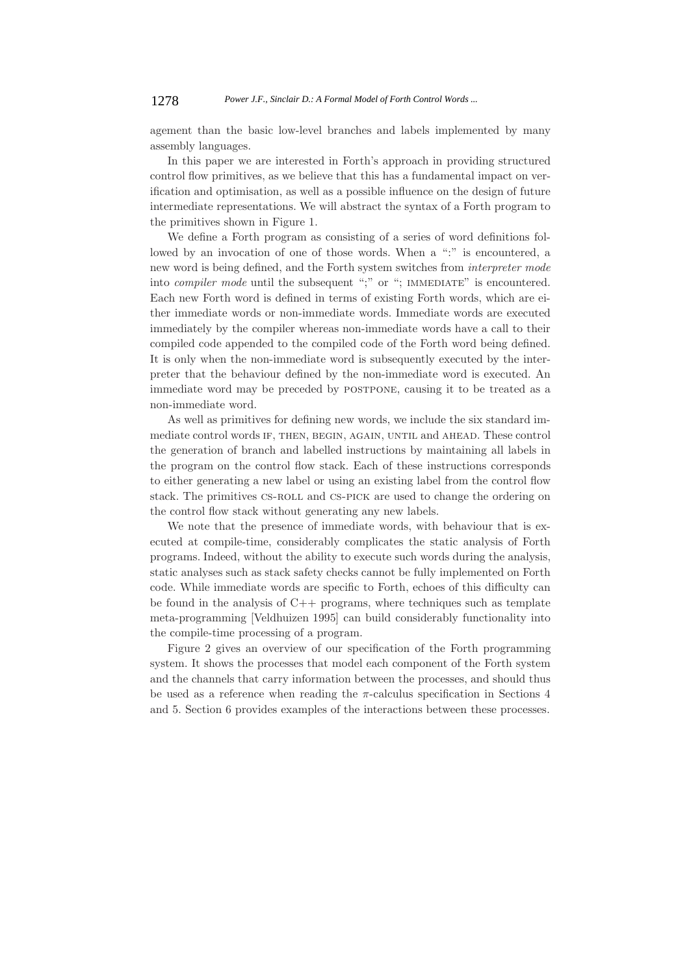agement than the basic low-level branches and labels implemented by many assembly languages.

In this paper we are interested in Forth's approach in providing structured control flow primitives, as we believe that this has a fundamental impact on verification and optimisation, as well as a possible influence on the design of future intermediate representations. We will abstract the syntax of a Forth program to the primitives shown in Figure 1.

We define a Forth program as consisting of a series of word definitions followed by an invocation of one of those words. When a ":" is encountered, a new word is being defined, and the Forth system switches from *interpreter mode* into *compiler mode* until the subsequent ";" or "; IMMEDIATE" is encountered. Each new Forth word is defined in terms of existing Forth words, which are either immediate words or non-immediate words. Immediate words are executed immediately by the compiler whereas non-immediate words have a call to their compiled code appended to the compiled code of the Forth word being defined. It is only when the non-immediate word is subsequently executed by the interpreter that the behaviour defined by the non-immediate word is executed. An immediate word may be preceded by POSTPONE, causing it to be treated as a non-immediate word.

As well as primitives for defining new words, we include the six standard immediate control words if, then, begin, again, until and ahead. These control the generation of branch and labelled instructions by maintaining all labels in the program on the control flow stack. Each of these instructions corresponds to either generating a new label or using an existing label from the control flow stack. The primitives cs-roll and cs-pick are used to change the ordering on the control flow stack without generating any new labels.

We note that the presence of immediate words, with behaviour that is executed at compile-time, considerably complicates the static analysis of Forth programs. Indeed, without the ability to execute such words during the analysis, static analyses such as stack safety checks cannot be fully implemented on Forth code. While immediate words are specific to Forth, echoes of this difficulty can be found in the analysis of  $C++$  programs, where techniques such as template meta-programming [Veldhuizen 1995] can build considerably functionality into the compile-time processing of a program.

Figure 2 gives an overview of our specification of the Forth programming system. It shows the processes that model each component of the Forth system and the channels that carry information between the processes, and should thus be used as a reference when reading the  $\pi$ -calculus specification in Sections 4 and 5. Section 6 provides examples of the interactions between these processes.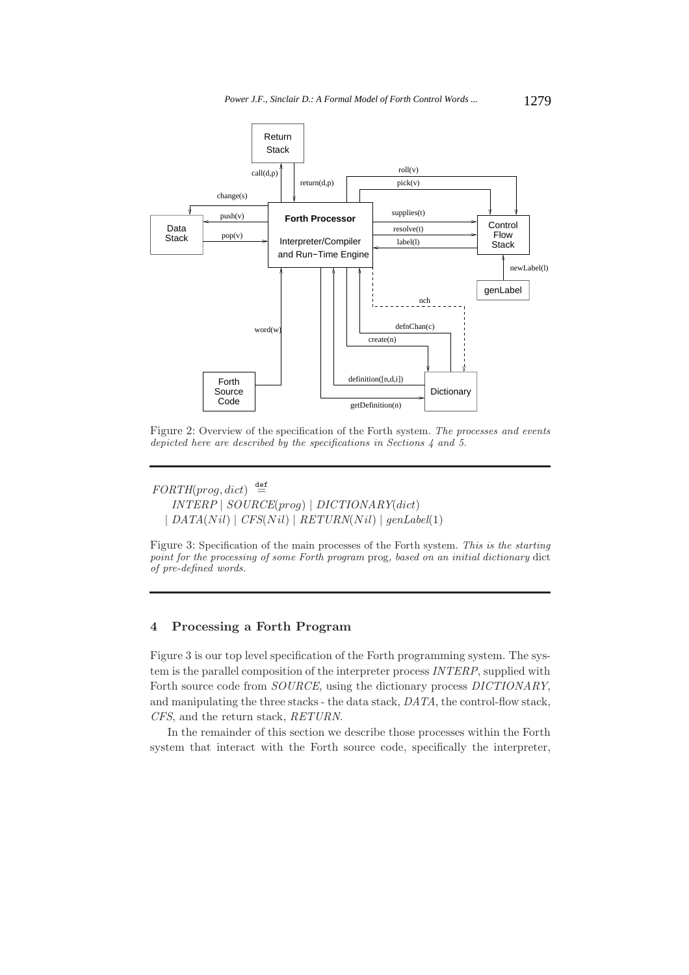

Figure 2: Overview of the specification of the Forth system. *The processes and events depicted here are described by the specifications in Sections 4 and 5.*

 $FORTH(pred, dict) \stackrel{\text{def}}{=}$ *INTERP* | *SOURCE*(prog) | *DICTIONARY*(dict)  $| \text{DATA}(Nil) | \text{CFS}(Nil) | \text{RETURN}(Nil) | \text{genLabel}(1)$ 

Figure 3: Specification of the main processes of the Forth system. *This is the starting point for the processing of some Forth program* prog*, based on an initial dictionary* dict *of pre-defined words.*

# **4 Processing a Forth Program**

Figure 3 is our top level specification of the Forth programming system. The system is the parallel composition of the interpreter process *INTERP*, supplied with Forth source code from *SOURCE*, using the dictionary process *DICTIONARY*, and manipulating the three stacks - the data stack, *DATA*, the control-flow stack, *CFS*, and the return stack, *RETURN*.

In the remainder of this section we describe those processes within the Forth system that interact with the Forth source code, specifically the interpreter,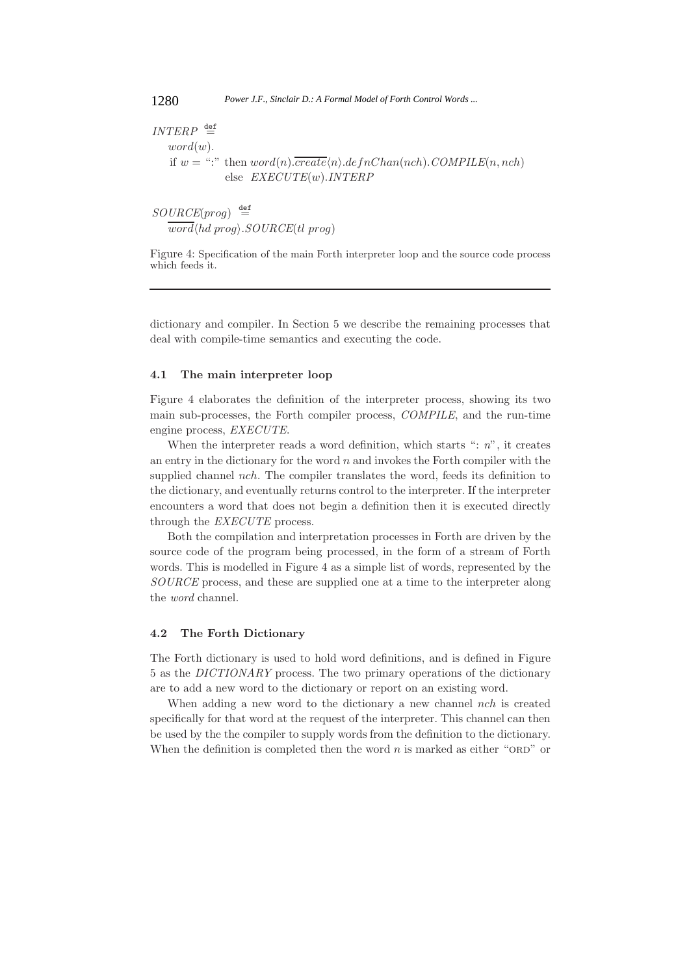$\textit{INTERP} \triangleq$  $word(w)$ . if  $w =$  ":" then  $word(n)$ .*create* $\langle n \rangle$ .*defnChan(nch).COMPILE* $(n, nch)$ else *EXECUTE*(w).*INTERP*

 $\textit{SOURCE}(\textit{prog}) \triangleq$  $word\langle hd\ prog\rangle$ . $SOURCE(tl\ prog)$ 

Figure 4: Specification of the main Forth interpreter loop and the source code process which feeds it.

dictionary and compiler. In Section 5 we describe the remaining processes that deal with compile-time semantics and executing the code.

#### **4.1 The main interpreter loop**

Figure 4 elaborates the definition of the interpreter process, showing its two main sub-processes, the Forth compiler process, *COMPILE*, and the run-time engine process, *EXECUTE*.

When the interpreter reads a word definition, which starts ": *n*", it creates an entry in the dictionary for the word  $n$  and invokes the Forth compiler with the supplied channel *nch*. The compiler translates the word, feeds its definition to the dictionary, and eventually returns control to the interpreter. If the interpreter encounters a word that does not begin a definition then it is executed directly through the *EXECUTE* process.

Both the compilation and interpretation processes in Forth are driven by the source code of the program being processed, in the form of a stream of Forth words. This is modelled in Figure 4 as a simple list of words, represented by the *SOURCE* process, and these are supplied one at a time to the interpreter along the *word* channel.

### **4.2 The Forth Dictionary**

The Forth dictionary is used to hold word definitions, and is defined in Figure 5 as the *DICTIONARY* process. The two primary operations of the dictionary are to add a new word to the dictionary or report on an existing word.

When adding a new word to the dictionary a new channel nch is created specifically for that word at the request of the interpreter. This channel can then be used by the the compiler to supply words from the definition to the dictionary. When the definition is completed then the word  $n$  is marked as either "ORD" or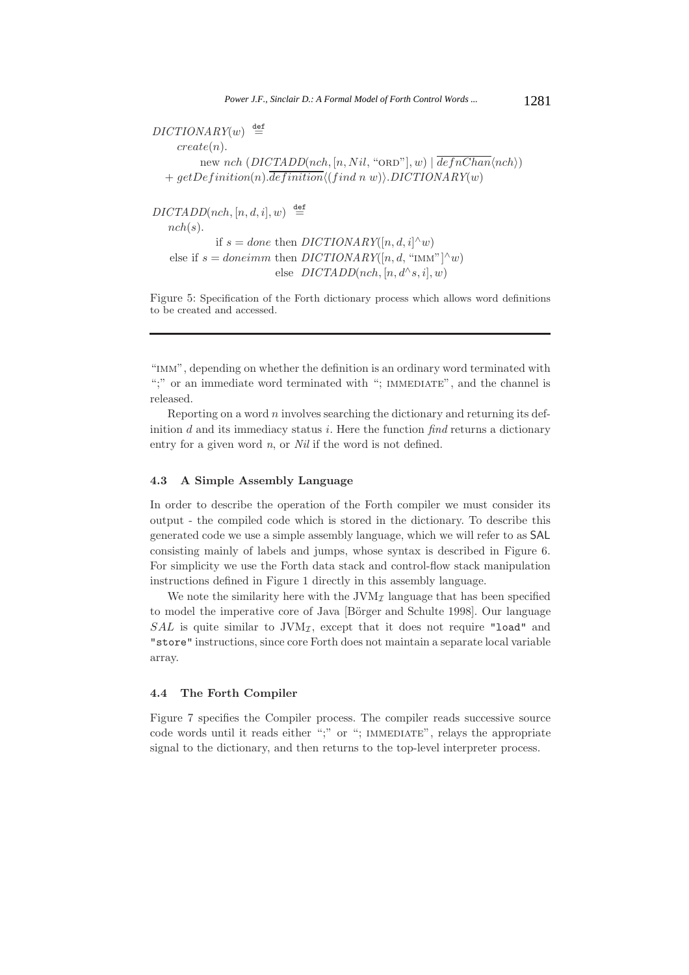$DICTIONARY(w) \stackrel{\text{def}}{=}$  $create(n).$ new nch  $(DICTADD(nch, [n, Nil, "ORD"), w) | \overline{defnChain} \langle nch \rangle)$  $+ getDefinition(n).definition \langle (find\,\,n\,\,w)\rangle. DICTIONARY(w)$  $DICTADD(nch, [n, d, i], w) \stackrel{\text{def}}{=}$  $nch(s)$ . if  $s = done$  then  $DICTIONARY([n, d, i]^\wedge w)$ else if  $s = doneimm$  then *DICTIONARY*([n, d, "IMM"]<sup> $\wedge w$ </sup>) else  $DICTADD(nch, [n, d \land s, i], w)$ 

Figure 5: Specification of the Forth dictionary process which allows word definitions to be created and accessed.

"imm", depending on whether the definition is an ordinary word terminated with ";" or an immediate word terminated with "; IMMEDIATE", and the channel is released.

Reporting on a word  $n$  involves searching the dictionary and returning its definition d and its immediacy status i. Here the function *find* returns a dictionary entry for a given word *n*, or *Nil* if the word is not defined.

### **4.3 A Simple Assembly Language**

In order to describe the operation of the Forth compiler we must consider its output - the compiled code which is stored in the dictionary. To describe this generated code we use a simple assembly language, which we will refer to as SAL consisting mainly of labels and jumps, whose syntax is described in Figure 6. For simplicity we use the Forth data stack and control-flow stack manipulation instructions defined in Figure 1 directly in this assembly language.

We note the similarity here with the  $JVM<sub>I</sub>$  language that has been specified to model the imperative core of Java [Börger and Schulte 1998]. Our language SAL is quite similar to  $JVM_{\mathcal{I}}$ , except that it does not require "load" and "store" instructions, since core Forth does not maintain a separate local variable array.

#### **4.4 The Forth Compiler**

Figure 7 specifies the Compiler process. The compiler reads successive source code words until it reads either ";" or "; IMMEDIATE", relays the appropriate signal to the dictionary, and then returns to the top-level interpreter process.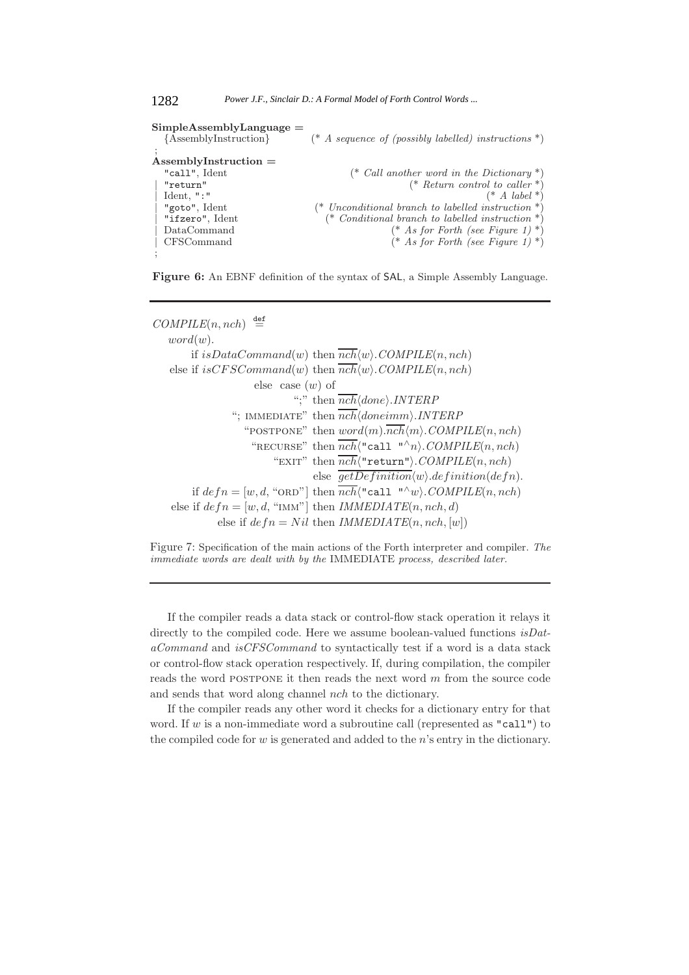```
SimpleAssemblyLanguage =
 {AssemblyInstruction} (* A sequence of (possibly labelled) instructions *)
;
AssemblyInstruction =
 "call", Ident (* Call another word in the Dictionary *)
 | "return" (* Return control to caller *)
 | Ident, ":" (* A label *)
 | "goto", Ident (* Unconditional branch to labelled instruction *)
 | "ifzero", Ident (* Conditional branch to labelled instruction *)
| DataCommand (* As for Forth (see Figure 1) *)
| CFSCommand (* As for Forth (see Figure 1) *)
;
```
1282 *Power J.F., Sinclair D.: A Formal Model of Forth Control Words ...*

**Figure 6:** An EBNF definition of the syntax of SAL, a Simple Assembly Language.

 $COMPILE(n, nch) \stackrel{\text{def}}{=}$  $word(w)$ . if  $isDataCommand(w)$  then  $nch(w)$ .  $COMPILE(n, nch)$ else if  $isCFSCommand(w)$  then  $nch(w)$ .  $COMPILE(n, nch)$ else case  $(w)$  of ";" then  $\overline{nch} \langle done \rangle$ .*INTERP* "; IMMEDIATE" then  $\overline{nch} \langle doneimm \rangle$ .*INTERP* "POSTPONE" then  $word(m) \cdot \overline{nch} \langle m \rangle$ . *COMPILE* $(n, nch)$ "RECURSE" then  $\overline{nch}$ ("call "^n). *COMPILE*(n, nch) "EXIT" then  $\overline{nch}$  ("return").  $COMPLE(n, nch)$ else  $\overline{getDefinition} \langle w \rangle definition(defn).$ if  $defn = [w, d, "ORD"]$  then  $\overline{nch} \langle "call "^w \rangle$ . *COMPILE* $(n, nch)$ else if  $defn = [w, d, "IMM"]$  then *IMMEDIATE* $(n, nch, d)$ else if  $defn = Nil$  then *IMMEDIATE* $(n, nch, [w])$ 

Figure 7: Specification of the main actions of the Forth interpreter and compiler. *The immediate words are dealt with by the* IMMEDIATE *process, described later.*

If the compiler reads a data stack or control-flow stack operation it relays it directly to the compiled code. Here we assume boolean-valued functions *isDataCommand* and *isCFSCommand* to syntactically test if a word is a data stack or control-flow stack operation respectively. If, during compilation, the compiler reads the word POSTPONE it then reads the next word m from the source code and sends that word along channel nch to the dictionary.

If the compiler reads any other word it checks for a dictionary entry for that word. If w is a non-immediate word a subroutine call (represented as "call") to the compiled code for  $w$  is generated and added to the  $n$ 's entry in the dictionary.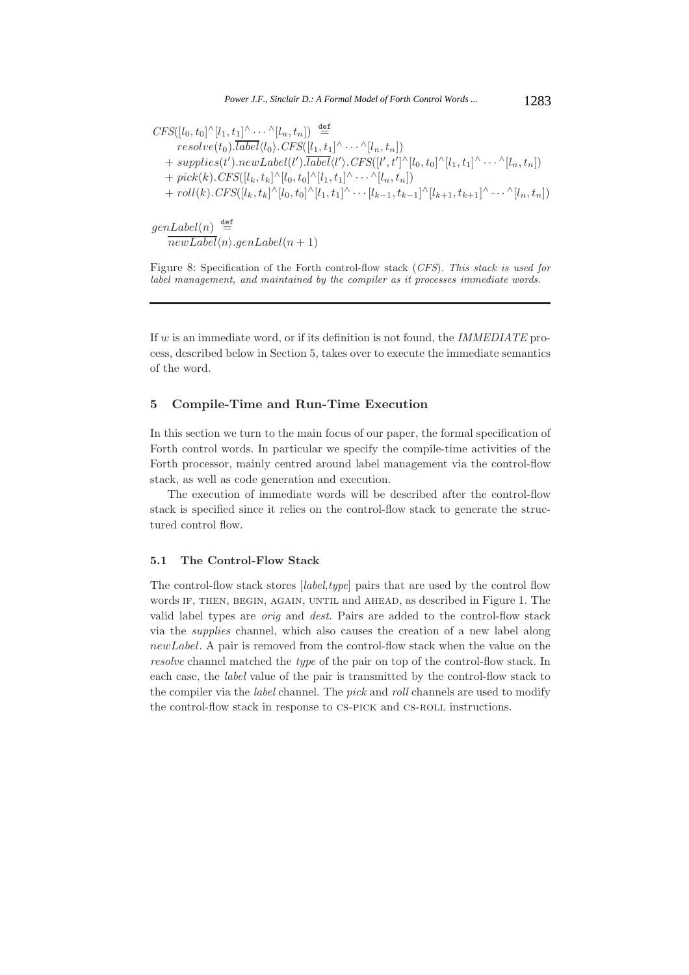$CFS([l_0,t_0]^{\wedge}[l_1,t_1]^{\wedge}\cdot\cdot\cdot^{\wedge}[l_n,t_n])\stackrel{\mathsf{def}}{=}$  $resolve(t_0).label\langle l_0\rangle.CFS([l_1,t_1]^{\wedge}\cdots^{\wedge}[l_n,t_n])$  $+ \ supp lies(t').newLabel(l').label\langle l'\rangle. CFS([l',t']^{\wedge}[l_0,t_0]^{\wedge}[l_1,t_1]^{\wedge}\cdots^{\wedge}[l_n,t_n])$  $+~pick(k).CFS([l_k, t_k]^{\wedge}[l_0, t_0]^{\wedge}[l_1, t_1]^{\wedge} \cdots \wedge [l_n, t_n])$  $+ \text{roll}(k) \text{.} CFS([l_k, t_k]^\wedge [l_0, t_0]^\wedge [l_1, t_1]^\wedge \cdots [l_{k-1}, t_{k-1}]^\wedge [l_{k+1}, t_{k+1}]^\wedge \cdots \wedge [l_n, t_n])$  $genLabel(n) \stackrel{\text{def}}{=}$ 

 $newLabel\langle n \rangle .genLabel(n+1)$ 

Figure 8: Specification of the Forth control-flow stack (*CFS*). *This stack is used for label management, and maintained by the compiler as it processes immediate words.*

If w is an immediate word, or if its definition is not found, the *IMMEDIATE* process, described below in Section 5, takes over to execute the immediate semantics of the word.

# **5 Compile-Time and Run-Time Execution**

In this section we turn to the main focus of our paper, the formal specification of Forth control words. In particular we specify the compile-time activities of the Forth processor, mainly centred around label management via the control-flow stack, as well as code generation and execution.

The execution of immediate words will be described after the control-flow stack is specified since it relies on the control-flow stack to generate the structured control flow.

#### **5.1 The Control-Flow Stack**

The control-flow stack stores [*label*,*type*] pairs that are used by the control flow words IF, THEN, BEGIN, AGAIN, UNTIL and AHEAD, as described in Figure 1. The valid label types are *orig* and *dest*. Pairs are added to the control-flow stack via the *supplies* channel, which also causes the creation of a new label along newLabel. A pair is removed from the control-flow stack when the value on the *resolve* channel matched the *type* of the pair on top of the control-flow stack. In each case, the *label* value of the pair is transmitted by the control-flow stack to the compiler via the *label* channel. The *pick* and *roll* channels are used to modify the control-flow stack in response to CS-PICK and CS-ROLL instructions.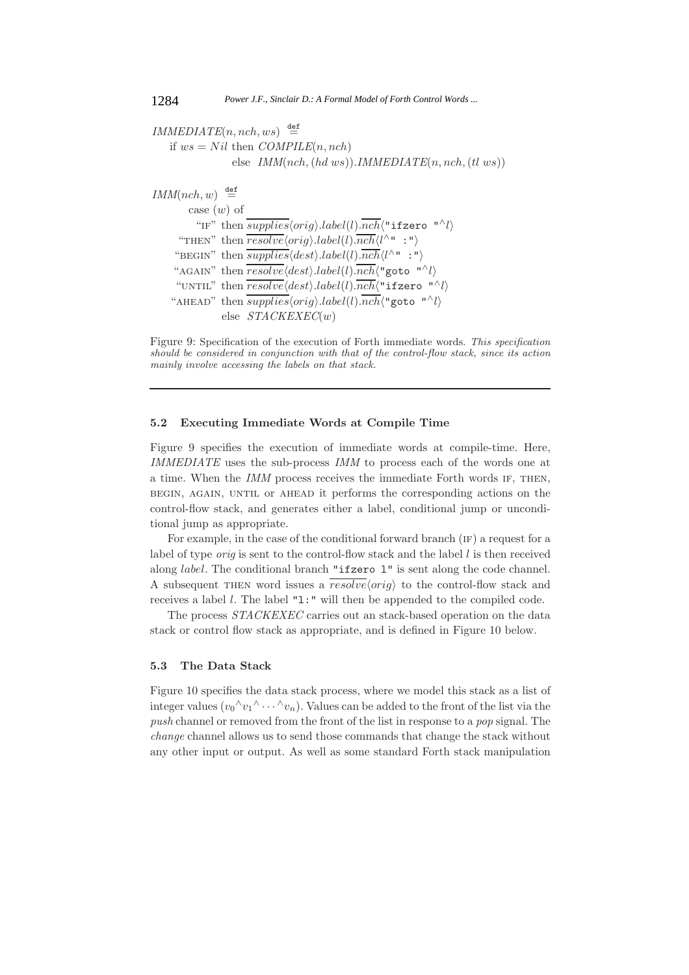```
IMMEDIATE(n, nch, ws) \stackrel{\text{def}}{=}if ws = Nil then COMPILE(n, nch)else IMM(nch, (hd\ ws)).IMMEDIATE(n, nch, (tl\ ws))IMM(nch, w) \stackrel{\text{def}}{=}case (w) of
              "IF" then \overline{supplies}\langle orig\rangle.label(l).\overline{nch}\langle "ifzero "^\wedge l\rangle"THEN" then \overline{resolve}\langle orig \rangle. label(l).\overline{nch}\langle l^{\wedge n} : "\rangle"BEGIN" then \overline{supplies}\langle dest\rangle. label(l).\overline{nch}\langle l^{\wedge n} :"\rangle"AGAIN" then \overline{resolve}\langle dest\rangle. \textit{label}(l).\overline{nch}\langle "goto "^\wedge l\rangle"UNTIL" then \overline{resolve}\langle dest\rangle. label(l).\overline{nch}\langle "ifzero "^\wedge l\rangle"AHEAD" then \overline{supplies}\langle orig\rangle.label(l).\overline{nch}\langle "goto "^l\rangleelse STACKEXEC(w)
```


# **5.2 Executing Immediate Words at Compile Time**

Figure 9 specifies the execution of immediate words at compile-time. Here, *IMMEDIATE* uses the sub-process *IMM* to process each of the words one at a time. When the *IMM* process receives the immediate Forth words if, then, begin, again, until or ahead it performs the corresponding actions on the control-flow stack, and generates either a label, conditional jump or unconditional jump as appropriate.

For example, in the case of the conditional forward branch (IF) a request for a label of type *orig* is sent to the control-flow stack and the label  $l$  is then received along label. The conditional branch "ifzero l" is sent along the code channel. A subsequent THEN word issues a  $\overline{resolve}\langle orig \rangle$  to the control-flow stack and receives a label  $l$ . The label "1:" will then be appended to the compiled code.

The process *STACKEXEC* carries out an stack-based operation on the data stack or control flow stack as appropriate, and is defined in Figure 10 below.

## **5.3 The Data Stack**

Figure 10 specifies the data stack process, where we model this stack as a list of integer values  $(v_0 \wedge v_1 \wedge \cdots \wedge v_n)$ . Values can be added to the front of the list via the *push* channel or removed from the front of the list in response to a *pop* signal. The *change* channel allows us to send those commands that change the stack without any other input or output. As well as some standard Forth stack manipulation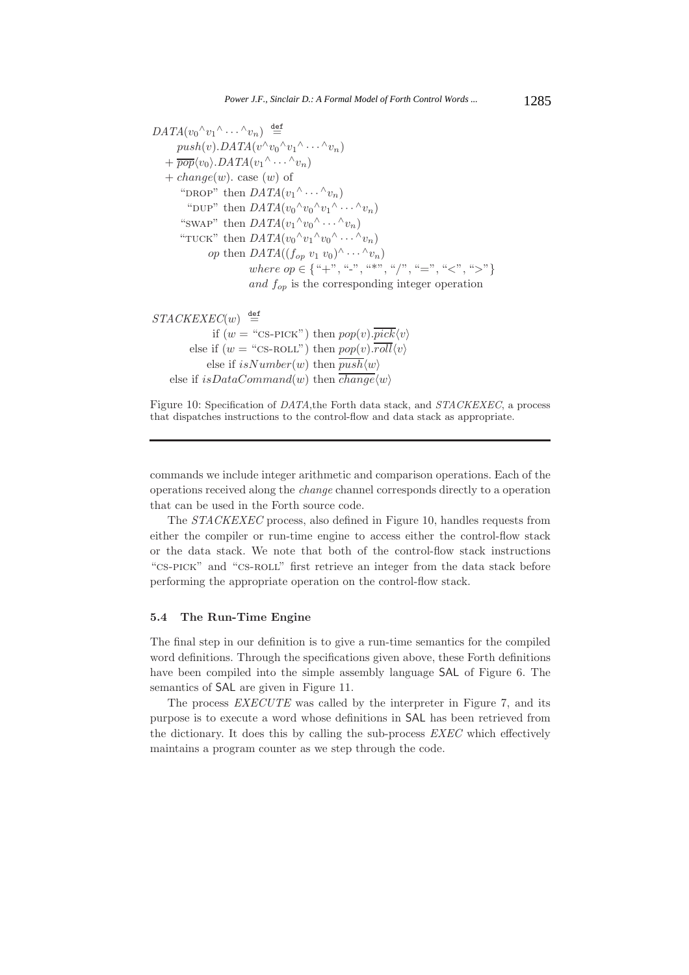$DATA(v_0 \land v_1 \land \ldots \land v_n) \stackrel{\text{def}}{=}$  $push(v).DATA(v^{\wedge}v_0^{\wedge}v_1^{\wedge} \cdots \wedge v_n)$  $+ \overline{pop} \langle v_0 \rangle$ .*DATA* $(v_1 \land \cdots \land v_n)$  $+ change(w)$ . case  $(w)$  of "DROP" then  $DATA(v_1 \wedge \cdots \wedge v_n)$ "DUP" then  $DATA(v_0 \wedge v_0 \wedge v_1 \wedge \cdots \wedge v_n)$ "SWAP" then  $DATA(v_1 \wedge v_0 \wedge \cdots \wedge v_n)$ "TUCK" then  $DATA(v_0 \wedge v_1 \wedge v_0 \wedge \cdots \wedge v_n)$ *op* then  $DATA((f_{op} v_1 v_0)^{\wedge} \cdots {\wedge} v_n)$ where  $op \in \{``+", ``-", ``*,'', ''', ''\}'' = "$ , "<", ">"} and  $f_{op}$  is the corresponding integer operation

 $STACKEXEC(w) \stackrel{\text{def}}{=}$ if  $(w = "CS-PICK")$  then  $pop(v)$ .  $\overline{pick}\langle v \rangle$ else if  $(w = "c$ s-ROLL") then  $pop(v) \cdot \overline{roll} \langle v \rangle$ else if  $isNumber(w)$  then  $push\langle w\rangle$ else if  $isDataCommand(w)$  then  $change\langle w\rangle$ 

Figure 10: Specification of *DATA*,the Forth data stack, and *STACKEXEC*, a process that dispatches instructions to the control-flow and data stack as appropriate.

commands we include integer arithmetic and comparison operations. Each of the operations received along the *change* channel corresponds directly to a operation that can be used in the Forth source code.

The *STACKEXEC* process, also defined in Figure 10, handles requests from either the compiler or run-time engine to access either the control-flow stack or the data stack. We note that both of the control-flow stack instructions "cs-pick" and "cs-roll" first retrieve an integer from the data stack before performing the appropriate operation on the control-flow stack.

# **5.4 The Run-Time Engine**

The final step in our definition is to give a run-time semantics for the compiled word definitions. Through the specifications given above, these Forth definitions have been compiled into the simple assembly language SAL of Figure 6. The semantics of SAL are given in Figure 11.

The process *EXECUTE* was called by the interpreter in Figure 7, and its purpose is to execute a word whose definitions in SAL has been retrieved from the dictionary. It does this by calling the sub-process *EXEC* which effectively maintains a program counter as we step through the code.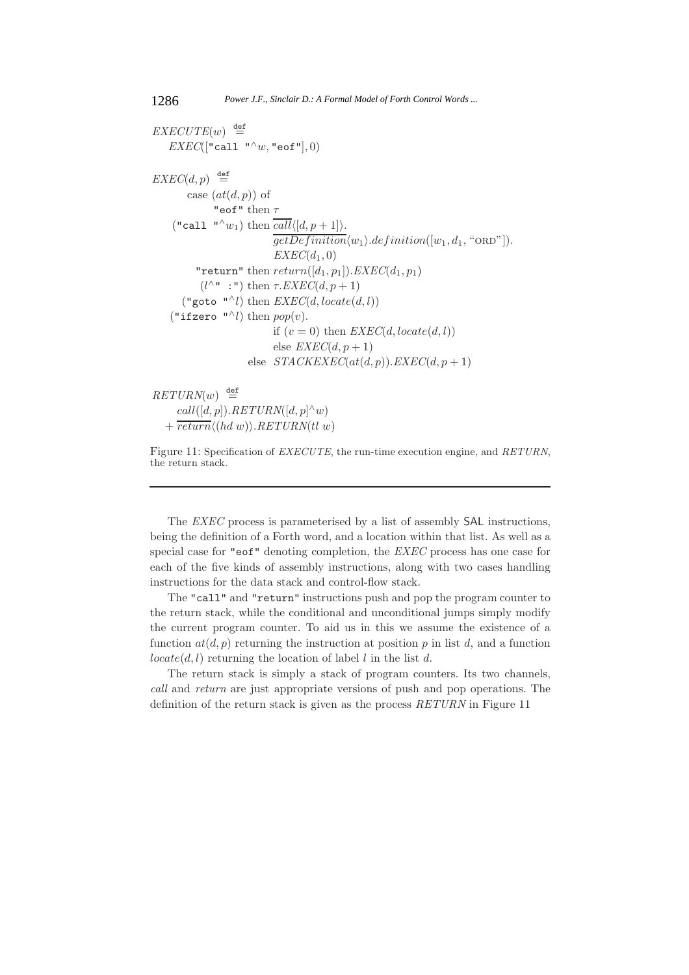$EXECUTE(w) \stackrel{\text{def}}{=}$  $EXEC([\texttt{"call "^w,w",\texttt{"eof"}}], 0)$  $EXEC(d,p) \stackrel{\text{def}}{=}$ case  $(at(d, p))$  of "eof" then  $\tau$ ("call "^w<sub>1</sub>) then  $call\langle [d, p+1]\rangle$ .  $\overline{getDefinition} \langle w_1 \rangle \ldotp definition([w_1, d_1, "ORD"]).$  $EXEC(d_1, 0)$ "return" then  $return([d_1, p_1])$ . *EXEC*( $d_1, p_1$ )  $(l^{\wedge n}:")$  then  $\tau$ *.EXEC*( $d, p+1$ ) ("goto "<sup> $\wedge$ </sup>l) then *EXEC*(*d*, locate(*d*, l)) ("ifzero "^l) then  $pop(v)$ . if  $(v = 0)$  then  $EXEC(d, locate(d, l))$ else  $EXEC(d, p+1)$ else  $STACKEXEC(at(d, p)).EXEC(d, p+1)$ 

 $RETURN(w) \stackrel{\text{def}}{=}$  $call([d, p]).$ *RETURN* $([d, p]$ <sup> $\wedge$ </sup>*w*)  $+ \overline{return} \langle (hd w) \rangle$ .*RETURN*(tl w)

Figure 11: Specification of *EXECUTE*, the run-time execution engine, and *RETURN*, the return stack.

The *EXEC* process is parameterised by a list of assembly SAL instructions, being the definition of a Forth word, and a location within that list. As well as a special case for "eof" denoting completion, the *EXEC* process has one case for each of the five kinds of assembly instructions, along with two cases handling instructions for the data stack and control-flow stack.

The "call" and "return" instructions push and pop the program counter to the return stack, while the conditional and unconditional jumps simply modify the current program counter. To aid us in this we assume the existence of a function  $at(d, p)$  returning the instruction at position p in list d, and a function  $locate(d, l)$  returning the location of label l in the list d.

The return stack is simply a stack of program counters. Its two channels, *call* and *return* are just appropriate versions of push and pop operations. The definition of the return stack is given as the process *RETURN* in Figure 11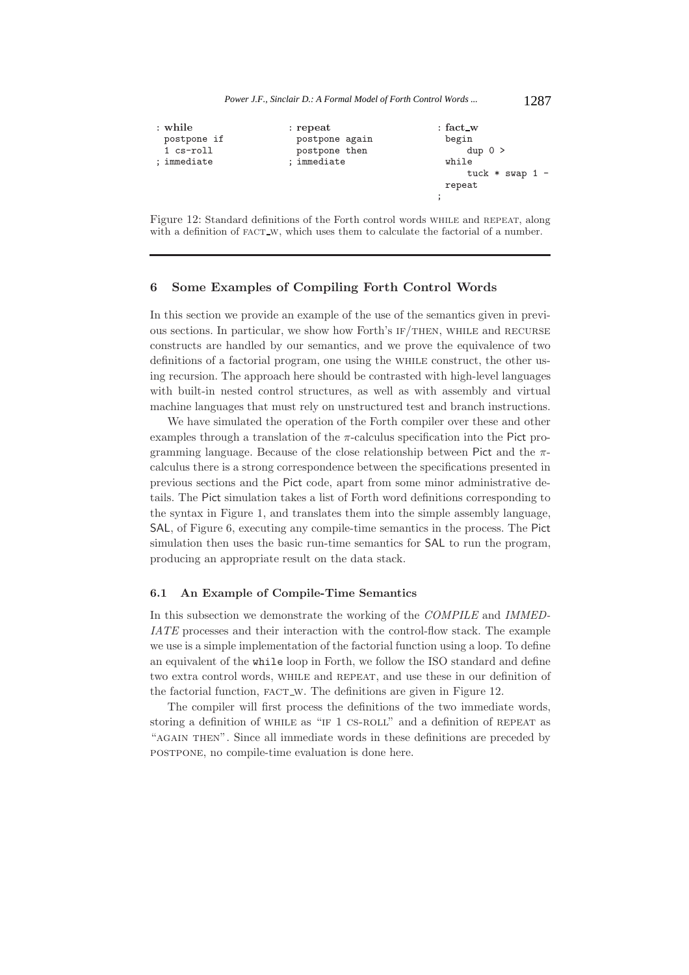

Figure 12: Standard definitions of the Forth control words while and repeat, along with a definition of FACT<sub>W</sub>, which uses them to calculate the factorial of a number.

# **6 Some Examples of Compiling Forth Control Words**

In this section we provide an example of the use of the semantics given in previous sections. In particular, we show how Forth's IF/THEN, WHILE and RECURSE constructs are handled by our semantics, and we prove the equivalence of two definitions of a factorial program, one using the while construct, the other using recursion. The approach here should be contrasted with high-level languages with built-in nested control structures, as well as with assembly and virtual machine languages that must rely on unstructured test and branch instructions.

We have simulated the operation of the Forth compiler over these and other examples through a translation of the  $\pi$ -calculus specification into the Pict programming language. Because of the close relationship between Pict and the  $\pi$ calculus there is a strong correspondence between the specifications presented in previous sections and the Pict code, apart from some minor administrative details. The Pict simulation takes a list of Forth word definitions corresponding to the syntax in Figure 1, and translates them into the simple assembly language, SAL, of Figure 6, executing any compile-time semantics in the process. The Pict simulation then uses the basic run-time semantics for **SAL** to run the program, producing an appropriate result on the data stack.

#### **6.1 An Example of Compile-Time Semantics**

In this subsection we demonstrate the working of the *COMPILE* and *IMMED-IATE* processes and their interaction with the control-flow stack. The example we use is a simple implementation of the factorial function using a loop. To define an equivalent of the while loop in Forth, we follow the ISO standard and define two extra control words, while and repeat, and use these in our definition of the factorial function,  $FACT\_W$ . The definitions are given in Figure 12.

The compiler will first process the definitions of the two immediate words, storing a definition of WHILE as "IF 1 CS-ROLL" and a definition of REPEAT as "AGAIN THEN". Since all immediate words in these definitions are preceded by postpone, no compile-time evaluation is done here.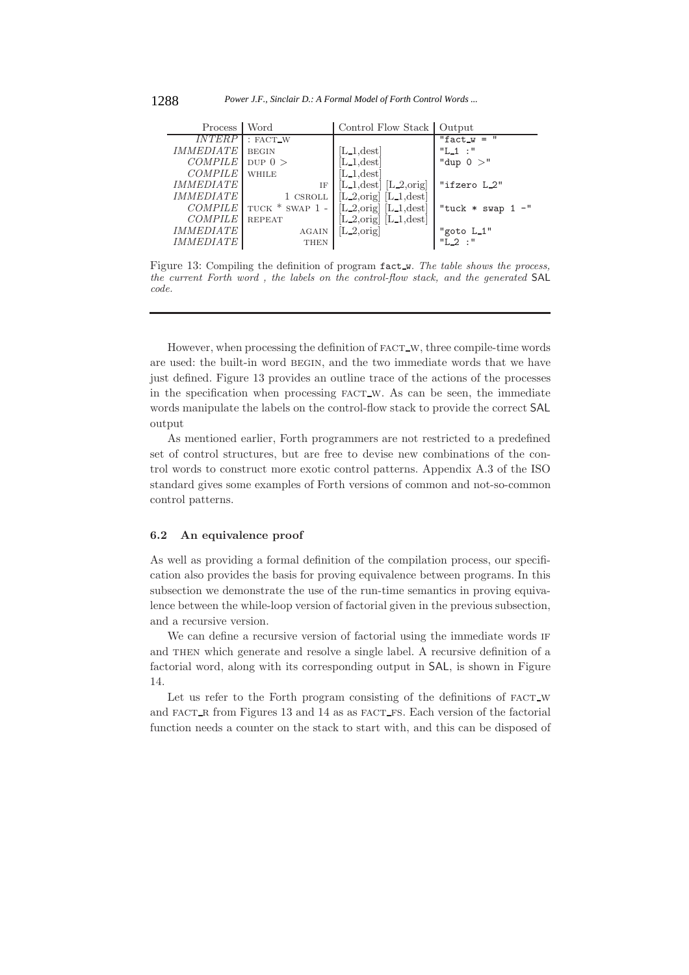| Process                 | Word                  | Control Flow Stack   Output               |               |
|-------------------------|-----------------------|-------------------------------------------|---------------|
| <i><b>INTERP</b></i>    | : FACT_W              |                                           | "fact_w = $"$ |
| <i>IMMEDIATE</i>        | <b>BEGIN</b>          | $[L_1, \text{dest}]$                      | $"L_1':"$     |
| <b>COMPILE</b>          | DUP $0 >$             | $L_1$ dest                                | "dup $0 >$ "  |
| <b>COMPILE</b>          | <b>WHILE</b>          | $L_1$ , dest                              |               |
| <i>IMMEDIATE</i>        | ΙF                    | $[L_1, \text{dest}]$ $[L_2, \text{orig}]$ | "ifzero L_2"  |
| <i>IMMEDIATE</i>        | 1 CSROLL              | $[L_2, \text{orig}]$ $[L_1, \text{dest}]$ |               |
| <i>COMPILE</i>          | $TUCK$ $*$ SWAP $1$ - | $[L_2, orig] [L_1, dest]$                 | "tuck * swap  |
| <i>COMPILE</i>          | <b>REPEAT</b>         | $[L_2, \text{orig}]$ $[L_1, \text{dest}]$ |               |
| <i><b>IMMEDIATE</b></i> | <b>AGAIN</b>          | $L_2$ , orig                              | "goto L_1"    |
| <i>IMMEDIATE</i>        | <b>THEN</b>           |                                           | $"L_2$ :"     |

Figure 13: Compiling the definition of program fact w. *The table shows the process, the current Forth word , the labels on the control-flow stack, and the generated* SAL *code.*

However, when processing the definition of FACT\_W, three compile-time words are used: the built-in word begin, and the two immediate words that we have just defined. Figure 13 provides an outline trace of the actions of the processes in the specification when processing FACT\_W. As can be seen, the immediate words manipulate the labels on the control-flow stack to provide the correct SAL output

As mentioned earlier, Forth programmers are not restricted to a predefined set of control structures, but are free to devise new combinations of the control words to construct more exotic control patterns. Appendix A.3 of the ISO standard gives some examples of Forth versions of common and not-so-common control patterns.

#### **6.2 An equivalence proof**

As well as providing a formal definition of the compilation process, our specification also provides the basis for proving equivalence between programs. In this subsection we demonstrate the use of the run-time semantics in proving equivalence between the while-loop version of factorial given in the previous subsection, and a recursive version.

We can define a recursive version of factorial using the immediate words IF and THEN which generate and resolve a single label. A recursive definition of a factorial word, along with its corresponding output in SAL, is shown in Figure 14.

Let us refer to the Forth program consisting of the definitions of FACT\_W and FACT\_R from Figures 13 and 14 as as FACT\_FS. Each version of the factorial function needs a counter on the stack to start with, and this can be disposed of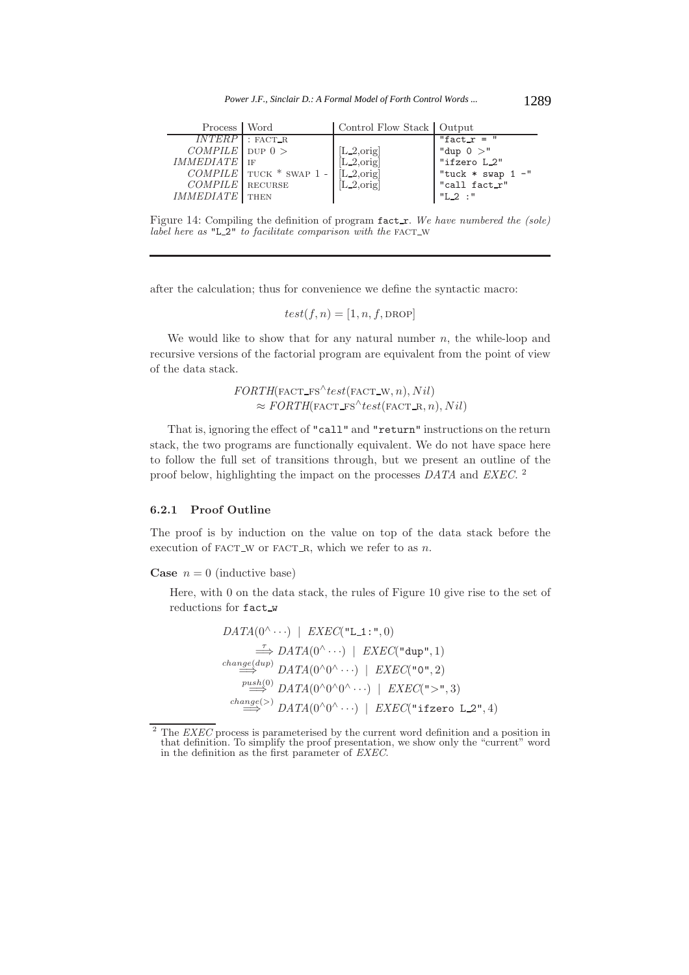| Process   Word        |                          | Control Flow Stack   Output |                                         |
|-----------------------|--------------------------|-----------------------------|-----------------------------------------|
| $INTERP$ : FACT_R     |                          |                             | "fact_ $r =$ "                          |
| $COMPLE$ pup 0 >      |                          | $[L_2, \text{orig}]$        | "dup $0 >$ "                            |
| IMMEDIATE             |                          | $[L_2, \text{orig}]$        | "ifzero L_2"                            |
|                       | $COMPLE$ TUCK * SWAP 1 - | $[L_2,\text{orig}]$         | "tuck * swap $1 -$ "<br>  "call fact_r" |
| $COMPLE$ RECURSE      |                          | $[L_2, \text{orig}]$        |                                         |
| <b>IMMEDIATE</b> THEN |                          |                             | $"L_2$ :"                               |

Figure 14: Compiling the definition of program fact\_r. We have numbered the (sole) *label here as* "L\_2" *to facilitate comparison with the* FACT\_W

after the calculation; thus for convenience we define the syntactic macro:

$$
test(f, n) = [1, n, f, \text{DROP}]
$$

We would like to show that for any natural number  $n$ , the while-loop and recursive versions of the factorial program are equivalent from the point of view of the data stack.

> $FORMH(FACT_FS^{\wedge} test(FACT_W, n), Nil)$  $\approx$  *FORTH*(*FACT\_FS*<sup> $\wedge$ </sup>test(*FACT\_R, n*), Nil)

That is, ignoring the effect of "call" and "return" instructions on the return stack, the two programs are functionally equivalent. We do not have space here to follow the full set of transitions through, but we present an outline of the proof below, highlighting the impact on the processes *DATA* and *EXEC*. <sup>2</sup>

#### **6.2.1 Proof Outline**

The proof is by induction on the value on top of the data stack before the execution of FACT\_W or FACT\_R, which we refer to as  $n$ .

**Case**  $n = 0$  (inductive base)

Here, with 0 on the data stack, the rules of Figure 10 give rise to the set of reductions for fact w

$$
DATA(0^{\wedge} \cdots) \mid EXEC("L_1; ", 0)
$$
\n
$$
\xrightarrow{\tau} DATA(0^{\wedge} \cdots) \mid EXEC("dup", 1)
$$
\n
$$
\xrightarrow{change(dup)} DATA(0^{\wedge} 0^{\wedge} \cdots) \mid EXEC("0", 2)
$$
\n
$$
\xrightarrow{push(0)} DATA(0^{\wedge} 0^{\wedge} 0^{\wedge} \cdots) \mid EXEC(">", 3)
$$
\n
$$
\xrightarrow{change(\succ)} DATA(0^{\wedge} 0^{\wedge} \cdots) \mid EXEC("ifzero L_2", 4)
$$

<sup>2</sup> The *EXEC* process is parameterised by the current word definition and a position in that definition. To simplify the proof presentation, we show only the "current" word in the definition as the first parameter of *EXEC*.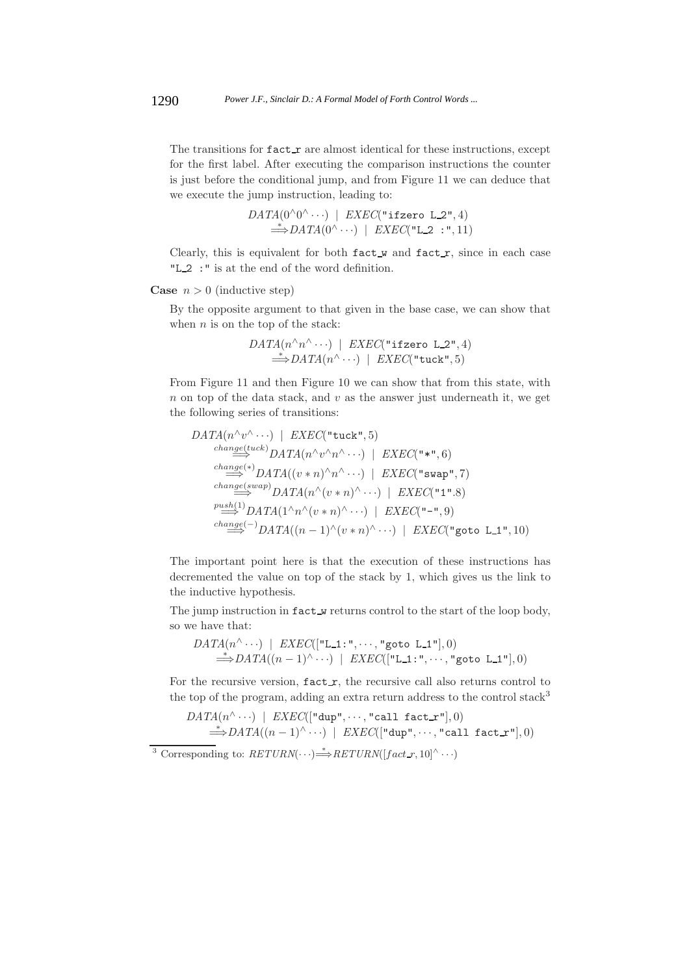The transitions for  $\texttt{fact}\_\texttt{r}$  are almost identical for these instructions, except for the first label. After executing the comparison instructions the counter is just before the conditional jump, and from Figure 11 we can deduce that we execute the jump instruction, leading to:

$$
DATA(0^{\land}0^{\land} \cdots) \mid EXEC("ifzero L_2", 4)
$$
  
\n
$$
\Rightarrow DATA(0^{\land} \cdots) \mid EXEC("L_2 : ", 11)
$$

Clearly, this is equivalent for both  $fact_w$  and  $fact_r$ , since in each case "L\_2 :" is at the end of the word definition.

#### **Case**  $n > 0$  (inductive step)

By the opposite argument to that given in the base case, we can show that when  $n$  is on the top of the stack:

$$
DATA(n^{\wedge} n^{\wedge} \cdots) | EXEC("ifzero L_2", 4)
$$
  
\n
$$
\stackrel{*}{\Longrightarrow} DATA(n^{\wedge} \cdots) | EXEC("tuck", 5)
$$

From Figure 11 and then Figure 10 we can show that from this state, with  $n$  on top of the data stack, and  $v$  as the answer just underneath it, we get the following series of transitions:

$$
DATA(n^{\wedge}v^{\wedge}\cdots) \mid EXEC("tuck", 5)
$$
\n
$$
\xrightarrow{change(tuck)} DATA(n^{\wedge}v^{\wedge}n^{\wedge}\cdots) \mid EXEC("**", 6)
$$
\n
$$
\xrightarrow{change(*)} DATA((v*n)^{\wedge}n^{\wedge}\cdots) \mid EXEC("swap", 7)
$$
\n
$$
\xrightarrow{change(swap)} DATA(n^{\wedge}(v*n)^{\wedge}\cdots) \mid EXEC("1".8)
$$
\n
$$
\xrightarrow{push(1)} DATA(1^{\wedge}n^{\wedge}(v*n)^{\wedge}\cdots) \mid EXEC("-* , 9)
$$
\n
$$
\xrightarrow{change(-)} DATA((n-1)^{\wedge}(v*n)^{\wedge}\cdots) \mid EXEC("goto L.1", 10)
$$

The important point here is that the execution of these instructions has decremented the value on top of the stack by 1, which gives us the link to the inductive hypothesis.

The jump instruction in fact w returns control to the start of the loop body, so we have that:

$$
\begin{array}{c} \textit{DATA}(n^{\wedge} \cdots) \mid \textit{EXEC}([\texttt{"L-1:"} , \cdots, \texttt{"goto L-1"}], 0) \\ \qquad \Longrightarrow \textit{DATA}((n-1)^{\wedge} \cdots) \mid \textit{EXEC}([\texttt{"L-1:"} , \cdots, \texttt{"goto L-1"}], 0) \end{array}
$$

For the recursive version,  $fact_r$ , the recursive call also returns control to the top of the program, adding an extra return address to the control stack<sup>3</sup>

$$
DATA(n^{\wedge} \cdots) \mid EXEC([\text{"dup", \cdots, "call fact_r"], 0})
$$
  
\n
$$
\stackrel{*}{\Longrightarrow} DATA((n-1)^{\wedge} \cdots) \mid EXEC([\text{"dup", \cdots, "call fact_r"], 0})
$$

 $\overline{3}$  Corresponding to:  $RETURN(\cdots) \stackrel{*}{\Longrightarrow} RETURN([fact_r, 10]^{\wedge} \cdots)$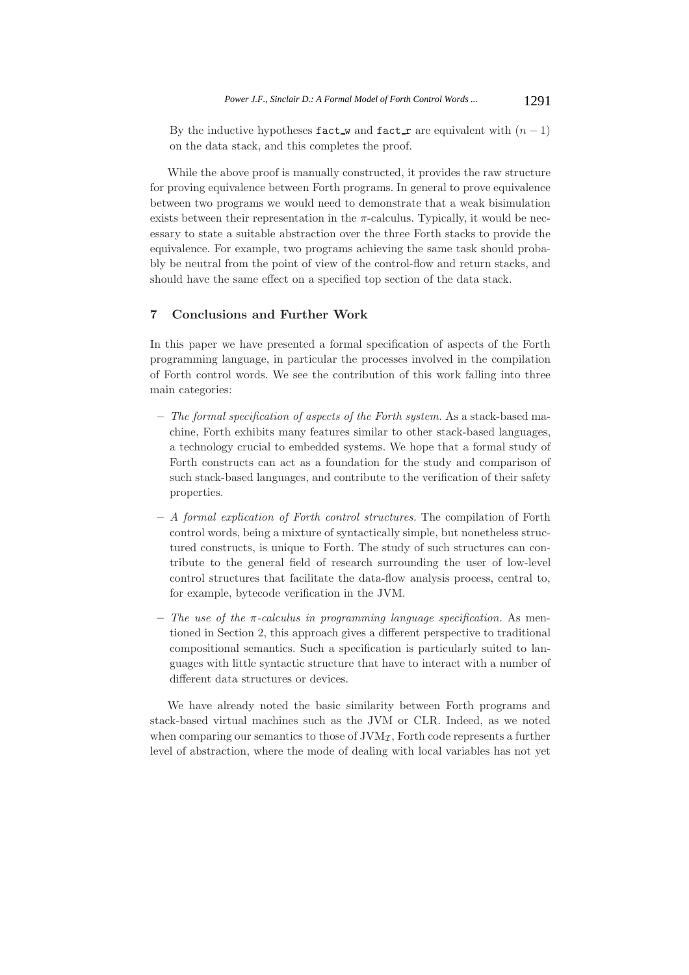By the inductive hypotheses fact w and fact r are equivalent with  $(n - 1)$ on the data stack, and this completes the proof.

While the above proof is manually constructed, it provides the raw structure for proving equivalence between Forth programs. In general to prove equivalence between two programs we would need to demonstrate that a weak bisimulation exists between their representation in the  $\pi$ -calculus. Typically, it would be necessary to state a suitable abstraction over the three Forth stacks to provide the equivalence. For example, two programs achieving the same task should probably be neutral from the point of view of the control-flow and return stacks, and should have the same effect on a specified top section of the data stack.

# **7 Conclusions and Further Work**

In this paper we have presented a formal specification of aspects of the Forth programming language, in particular the processes involved in the compilation of Forth control words. We see the contribution of this work falling into three main categories:

- **–** *The formal specification of aspects of the Forth system.* As a stack-based machine, Forth exhibits many features similar to other stack-based languages, a technology crucial to embedded systems. We hope that a formal study of Forth constructs can act as a foundation for the study and comparison of such stack-based languages, and contribute to the verification of their safety properties.
- **–** *A formal explication of Forth control structures.* The compilation of Forth control words, being a mixture of syntactically simple, but nonetheless structured constructs, is unique to Forth. The study of such structures can contribute to the general field of research surrounding the user of low-level control structures that facilitate the data-flow analysis process, central to, for example, bytecode verification in the JVM.
- **–** *The use of the* π*-calculus in programming language specification.* As mentioned in Section 2, this approach gives a different perspective to traditional compositional semantics. Such a specification is particularly suited to languages with little syntactic structure that have to interact with a number of different data structures or devices.

We have already noted the basic similarity between Forth programs and stack-based virtual machines such as the JVM or CLR. Indeed, as we noted when comparing our semantics to those of  $JVM<sub>\mathcal{I}</sub>$ , Forth code represents a further level of abstraction, where the mode of dealing with local variables has not yet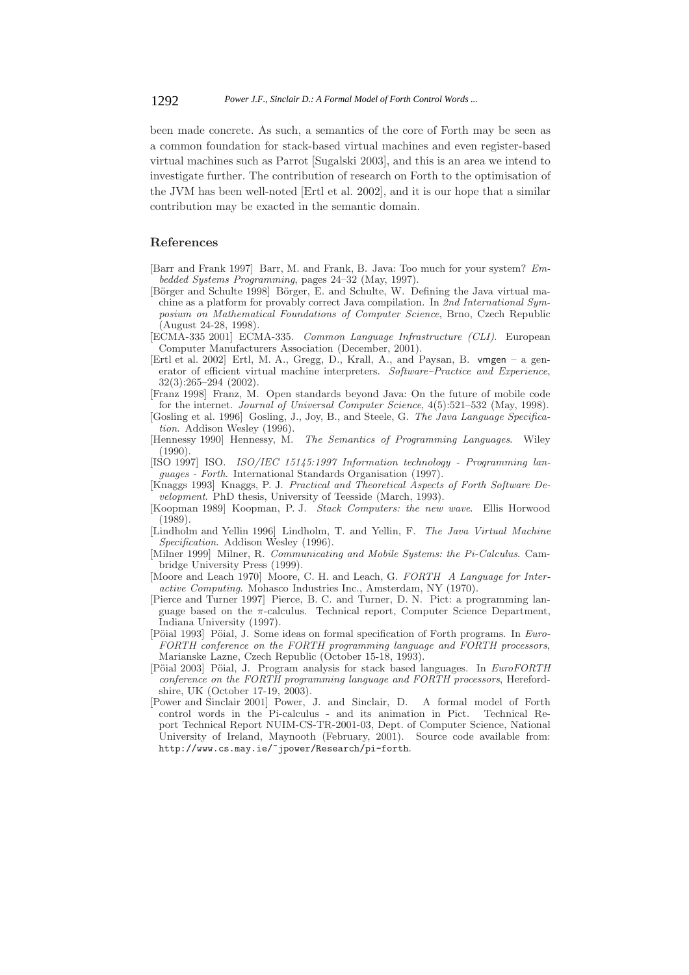been made concrete. As such, a semantics of the core of Forth may be seen as a common foundation for stack-based virtual machines and even register-based virtual machines such as Parrot [Sugalski 2003], and this is an area we intend to investigate further. The contribution of research on Forth to the optimisation of the JVM has been well-noted [Ertl et al. 2002], and it is our hope that a similar contribution may be exacted in the semantic domain.

#### **References**

- [Barr and Frank 1997] Barr, M. and Frank, B. Java: Too much for your system? *Embedded Systems Programming*, pages 24–32 (May, 1997).
- [Börger and Schulte 1998] Börger, E. and Schulte, W. Defining the Java virtual machine as a platform for provably correct Java compilation. In *2nd International Symposium on Mathematical Foundations of Computer Science*, Brno, Czech Republic (August 24-28, 1998).
- [ECMA-335 2001] ECMA-335. *Common Language Infrastructure (CLI)*. European Computer Manufacturers Association (December, 2001).
- [Ertl et al. 2002] Ertl, M. A., Gregg, D., Krall, A., and Paysan, B. vmgen a generator of efficient virtual machine interpreters. *Software–Practice and Experience*, 32(3):265–294 (2002).
- [Franz 1998] Franz, M. Open standards beyond Java: On the future of mobile code for the internet. *Journal of Universal Computer Science*, 4(5):521–532 (May, 1998).
- [Gosling et al. 1996] Gosling, J., Joy, B., and Steele, G. *The Java Language Specification*. Addison Wesley (1996).
- [Hennessy 1990] Hennessy, M. *The Semantics of Programming Languages*. Wiley (1990).
- [ISO 1997] ISO. *ISO/IEC 15145:1997 Information technology Programming languages - Forth*. International Standards Organisation (1997).
- [Knaggs 1993] Knaggs, P. J. *Practical and Theoretical Aspects of Forth Software Development*. PhD thesis, University of Teesside (March, 1993).
- [Koopman 1989] Koopman, P. J. *Stack Computers: the new wave*. Ellis Horwood (1989).
- [Lindholm and Yellin 1996] Lindholm, T. and Yellin, F. *The Java Virtual Machine Specification*. Addison Wesley (1996).
- [Milner 1999] Milner, R. *Communicating and Mobile Systems: the Pi-Calculus*. Cambridge University Press (1999).
- [Moore and Leach 1970] Moore, C. H. and Leach, G. *FORTH A Language for Interactive Computing*. Mohasco Industries Inc., Amsterdam, NY (1970).
- [Pierce and Turner 1997] Pierce, B. C. and Turner, D. N. Pict: a programming language based on the  $\pi$ -calculus. Technical report, Computer Science Department, Indiana University (1997).
- [Pöial 1993] Pöial, J. Some ideas on formal specification of Forth programs. In *Euro-FORTH conference on the FORTH programming language and FORTH processors*, Marianske Lazne, Czech Republic (October 15-18, 1993).
- [Pöial 2003] Pöial, J. Program analysis for stack based languages. In *EuroFORTH conference on the FORTH programming language and FORTH processors*, Herefordshire, UK (October 17-19, 2003).
- [Power and Sinclair 2001] Power, J. and Sinclair, D. A formal model of Forth control words in the Pi-calculus - and its animation in Pict. Technical Report Technical Report NUIM-CS-TR-2001-03, Dept. of Computer Science, National University of Ireland, Maynooth (February, 2001). Source code available from: http://www.cs.may.ie/~jpower/Research/pi-forth.